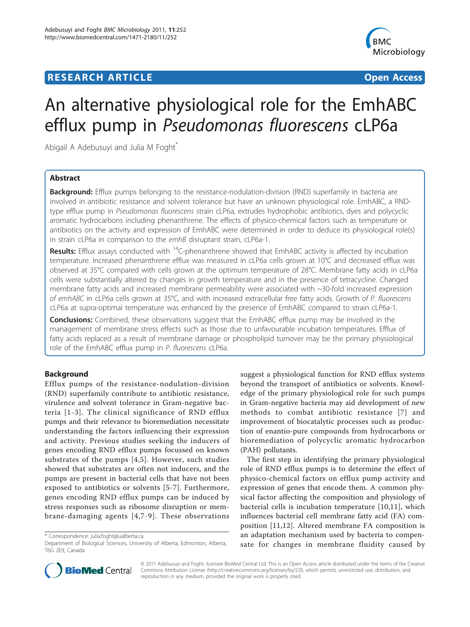# **RESEARCH ARTICLE Example 2014 CONSUMING ACCESS**



# An alternative physiological role for the EmhABC efflux pump in Pseudomonas fluorescens cLP6a

Abigail A Adebusuyi and Julia M Foght<sup>\*</sup>

# Abstract

**Background:** Efflux pumps belonging to the resistance-nodulation-division (RND) superfamily in bacteria are involved in antibiotic resistance and solvent tolerance but have an unknown physiological role. EmhABC, a RNDtype efflux pump in Pseudomonas fluorescens strain cLP6a, extrudes hydrophobic antibiotics, dyes and polycyclic aromatic hydrocarbons including phenanthrene. The effects of physico-chemical factors such as temperature or antibiotics on the activity and expression of EmhABC were determined in order to deduce its physiological role(s) in strain cLP6a in comparison to the emhB disruptant strain, cLP6a-1.

**Results:** Efflux assays conducted with  $^{14}$ C-phenanthrene showed that EmhABC activity is affected by incubation temperature. Increased phenanthrene efflux was measured in cLP6a cells grown at 10°C and decreased efflux was observed at 35°C compared with cells grown at the optimum temperature of 28°C. Membrane fatty acids in cLP6a cells were substantially altered by changes in growth temperature and in the presence of tetracycline. Changed membrane fatty acids and increased membrane permeability were associated with ~30-fold increased expression of emhABC in cLP6a cells grown at 35°C, and with increased extracellular free fatty acids. Growth of P. fluorescens cLP6a at supra-optimal temperature was enhanced by the presence of EmhABC compared to strain cLP6a-1.

**Conclusions:** Combined, these observations suggest that the EmhABC efflux pump may be involved in the management of membrane stress effects such as those due to unfavourable incubation temperatures. Efflux of fatty acids replaced as a result of membrane damage or phospholipid turnover may be the primary physiological role of the EmhABC efflux pump in P. fluorescens cLP6a.

# Background

Efflux pumps of the resistance-nodulation-division (RND) superfamily contribute to antibiotic resistance, virulence and solvent tolerance in Gram-negative bacteria [[1](#page-10-0)-[3\]](#page-11-0). The clinical significance of RND efflux pumps and their relevance to bioremediation necessitate understanding the factors influencing their expression and activity. Previous studies seeking the inducers of genes encoding RND efflux pumps focussed on known substrates of the pumps [[4](#page-11-0),[5\]](#page-11-0). However, such studies showed that substrates are often not inducers, and the pumps are present in bacterial cells that have not been exposed to antibiotics or solvents [[5](#page-11-0)-[7](#page-11-0)]. Furthermore, genes encoding RND efflux pumps can be induced by stress responses such as ribosome disruption or membrane-damaging agents [[4,7-9](#page-11-0)]. These observations

suggest a physiological function for RND efflux systems beyond the transport of antibiotics or solvents. Knowledge of the primary physiological role for such pumps in Gram-negative bacteria may aid development of new methods to combat antibiotic resistance [[7\]](#page-11-0) and improvement of biocatalytic processes such as production of enantio-pure compounds from hydrocarbons or bioremediation of polycyclic aromatic hydrocarbon (PAH) pollutants.

The first step in identifying the primary physiological role of RND efflux pumps is to determine the effect of physico-chemical factors on efflux pump activity and expression of genes that encode them. A common physical factor affecting the composition and physiology of bacterial cells is incubation temperature [\[10](#page-11-0),[11\]](#page-11-0), which influences bacterial cell membrane fatty acid (FA) composition [[11,12](#page-11-0)]. Altered membrane FA composition is an adaptation mechanism used by bacteria to compensate for changes in membrane fluidity caused by



© 2011 Adebusuyi and Foght; licensee BioMed Central Ltd. This is an Open Access article distributed under the terms of the Creative Commons Attribution License [\(http://creativecommons.org/licenses/by/2.0](http://creativecommons.org/licenses/by/2.0)), which permits unrestricted use, distribution, and reproduction in any medium, provided the original work is properly cited.

<sup>\*</sup> Correspondence: [julia.foght@ualberta.ca](mailto:julia.foght@ualberta.ca)

Department of Biological Sciences, University of Alberta, Edmonton, Alberta, T6G 2E9, Canada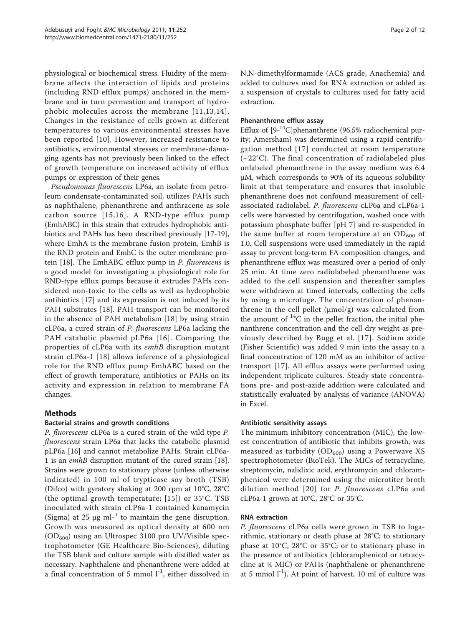physiological or biochemical stress. Fluidity of the membrane affects the interaction of lipids and proteins (including RND efflux pumps) anchored in the membrane and in turn permeation and transport of hydrophobic molecules across the membrane [[11](#page-11-0),[13](#page-11-0),[14\]](#page-11-0). Changes in the resistance of cells grown at different temperatures to various environmental stresses have been reported [\[10\]](#page-11-0). However, increased resistance to antibiotics, environmental stresses or membrane-damaging agents has not previously been linked to the effect of growth temperature on increased activity of efflux pumps or expression of their genes.

Pseudomonas fluorescens LP6a, an isolate from petroleum condensate-contaminated soil, utilizes PAHs such as naphthalene, phenanthrene and anthracene as sole carbon source [[15](#page-11-0),[16\]](#page-11-0). A RND-type efflux pump (EmhABC) in this strain that extrudes hydrophobic antibiotics and PAHs has been described previously [[17-19](#page-11-0)], where EmhA is the membrane fusion protein, EmhB is the RND protein and EmhC is the outer membrane protein [\[18](#page-11-0)]. The EmhABC efflux pump in P. fluorescens is a good model for investigating a physiological role for RND-type efflux pumps because it extrudes PAHs considered non-toxic to the cells as well as hydrophobic antibiotics [[17\]](#page-11-0) and its expression is not induced by its PAH substrates [[18\]](#page-11-0). PAH transport can be monitored in the absence of PAH metabolism [\[18](#page-11-0)] by using strain cLP6a, a cured strain of P. fluorescens LP6a lacking the PAH catabolic plasmid pLP6a [\[16](#page-11-0)]. Comparing the properties of cLP6a with its emhB disruption mutant strain cLP6a-1 [[18\]](#page-11-0) allows inference of a physiological role for the RND efflux pump EmhABC based on the effect of growth temperature, antibiotics or PAHs on its activity and expression in relation to membrane FA changes.

# Methods

# Bacterial strains and growth conditions

P. fluorescens cLP6a is a cured strain of the wild type P. fluorescens strain LP6a that lacks the catabolic plasmid pLP6a [\[16](#page-11-0)] and cannot metabolize PAHs. Strain cLP6a-1 is an emhB disruption mutant of the cured strain [\[18](#page-11-0)]. Strains were grown to stationary phase (unless otherwise indicated) in 100 ml of trypticase soy broth (TSB) (Difco) with gyratory shaking at 200 rpm at 10°C, 28°C (the optimal growth temperature; [[15](#page-11-0)]) or 35°C. TSB inoculated with strain cLP6a-1 contained kanamycin (Sigma) at 25  $\mu$ g ml<sup>-1</sup> to maintain the gene disruption. Growth was measured as optical density at 600 nm  $(OD<sub>600</sub>)$  using an Ultrospec 3100 pro UV/Visible spectrophotometer (GE Healthcare Bio-Sciences), diluting the TSB blank and culture sample with distilled water as necessary. Naphthalene and phenanthrene were added at a final concentration of 5 mmol  $l^{-1}$ , either dissolved in N,N-dimethylformamide (ACS grade, Anachemia) and added to cultures used for RNA extraction or added as a suspension of crystals to cultures used for fatty acid extraction.

# Phenanthrene efflux assay

Efflux of  $[9-14]$ C phenanthrene (96.5% radiochemical purity; Amersham) was determined using a rapid centrifugation method [[17\]](#page-11-0) conducted at room temperature (~22°C). The final concentration of radiolabeled plus unlabeled phenanthrene in the assay medium was 6.4 μM, which corresponds to 90% of its aqueous solubility limit at that temperature and ensures that insoluble phenanthrene does not confound measurement of cellassociated radiolabel. P. fluorescens cLP6a and cLP6a-1 cells were harvested by centrifugation, washed once with potassium phosphate buffer [pH 7] and re-suspended in the same buffer at room temperature at an  $OD_{600}$  of 1.0. Cell suspensions were used immediately in the rapid assay to prevent long-term FA composition changes, and phenanthrene efflux was measured over a period of only 25 min. At time zero radiolabeled phenanthrene was added to the cell suspension and thereafter samples were withdrawn at timed intervals, collecting the cells by using a microfuge. The concentration of phenanthrene in the cell pellet  $(\mu \text{mol/g})$  was calculated from the amount of  $^{14}C$  in the pellet fraction, the initial phenanthrene concentration and the cell dry weight as previously described by Bugg et al. [[17\]](#page-11-0). Sodium azide (Fisher Scientific) was added 9 min into the assay to a final concentration of 120 mM as an inhibitor of active transport [\[17](#page-11-0)]. All efflux assays were performed using independent triplicate cultures. Steady state concentrations pre- and post-azide addition were calculated and statistically evaluated by analysis of variance (ANOVA) in Excel.

# Antibiotic sensitivity assays

The minimum inhibitory concentration (MIC), the lowest concentration of antibiotic that inhibits growth, was measured as turbidity  $(OD_{600})$  using a Powerwave XS spectrophotometer (BioTek). The MICs of tetracycline, streptomycin, nalidixic acid, erythromycin and chloramphenicol were determined using the microtiter broth dilution method [\[20](#page-11-0)] for P. fluorescens cLP6a and cLP6a-1 grown at 10°C, 28°C or 35°C.

#### RNA extraction

P. fluorescens cLP6a cells were grown in TSB to logarithmic, stationary or death phase at 28°C; to stationary phase at 10°C, 28°C or 35°C; or to stationary phase in the presence of antibiotics (chloramphenicol or tetracycline at ¼ MIC) or PAHs (naphthalene or phenanthrene at 5 mmol  $1^{-1}$ ). At point of harvest, 10 ml of culture was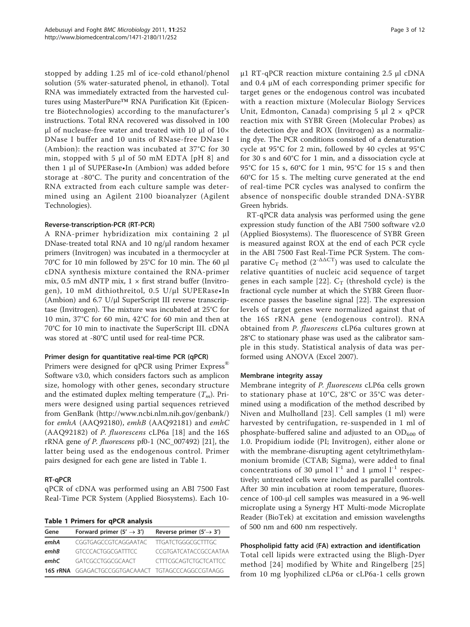stopped by adding 1.25 ml of ice-cold ethanol/phenol solution (5% water-saturated phenol, in ethanol). Total RNA was immediately extracted from the harvested cultures using MasterPure™ RNA Purification Kit (Epicentre Biotechnologies) according to the manufacturer's instructions. Total RNA recovered was dissolved in 100 μl of nuclease-free water and treated with 10 μl of 10× DNase I buffer and 10 units of RNase-free DNase I (Ambion): the reaction was incubated at 37°C for 30 min, stopped with 5 μl of 50 mM EDTA [pH 8] and then 1 μl of SUPERase•In (Ambion) was added before storage at -80°C. The purity and concentration of the RNA extracted from each culture sample was determined using an Agilent 2100 bioanalyzer (Agilent Technologies).

# Reverse-transcription-PCR (RT-PCR)

A RNA-primer hybridization mix containing 2 μl DNase-treated total RNA and 10 ng/μl random hexamer primers (Invitrogen) was incubated in a thermocycler at 70°C for 10 min followed by 25°C for 10 min. The 60 μl cDNA synthesis mixture contained the RNA-primer mix, 0.5 mM dNTP mix,  $1 \times$  first strand buffer (Invitrogen), 10 mM dithiothreitol, 0.5 U/μl SUPERase•In (Ambion) and 6.7 U/μl SuperScript III reverse transcriptase (Invitrogen). The mixture was incubated at 25°C for 10 min, 37°C for 60 min, 42°C for 60 min and then at 70°C for 10 min to inactivate the SuperScript III. cDNA was stored at -80°C until used for real-time PCR.

#### Primer design for quantitative real-time PCR (qPCR)

Primers were designed for qPCR using Primer Express® Software v3.0, which considers factors such as amplicon size, homology with other genes, secondary structure and the estimated duplex melting temperature  $(T_m)$ . Primers were designed using partial sequences retrieved from GenBank [\(http://www.ncbi.nlm.nih.gov/genbank/](http://www.ncbi.nlm.nih.gov/genbank/)) for emhA (AAQ92180), emhB (AAQ92181) and emhC (AAQ92182) of P. fluorescens cLP6a [\[18\]](#page-11-0) and the 16S rRNA gene of P. fluorescens pf0-1 (NC\_007492) [\[21](#page-11-0)], the latter being used as the endogenous control. Primer pairs designed for each gene are listed in Table 1.

#### RT-qPCR

qPCR of cDNA was performed using an ABI 7500 Fast Real-Time PCR System (Applied Biosystems). Each 10-

#### Table 1 Primers for qPCR analysis

| Gene | Forward primer $(5' \rightarrow 3')$               | Reverse primer $(5' \rightarrow 3')$ |
|------|----------------------------------------------------|--------------------------------------|
| emhA | CGGTGAGCCGTCAGGAATAC                               | TTGATCTGGGCGCTTTGC                   |
| emhB | <b>GTCCCACTGGCGATTTCC</b>                          | CCGTGATCATACCGCCAATAA                |
| emhC | GATCGCCTGGCGCAACT                                  | <b>CITTCGCAGTCTGCTCATTCC</b>         |
|      | 16S FRNA GGAGACTGCCGGTGACAAACT TGTAGCCCAGGCCGTAAGG |                                      |

μ1 RT-qPCR reaction mixture containing 2.5 μl cDNA and 0.4 μM of each corresponding primer specific for target genes or the endogenous control was incubated with a reaction mixture (Molecular Biology Services Unit, Edmonton, Canada) comprising 5  $\mu$ l 2 × qPCR reaction mix with SYBR Green (Molecular Probes) as the detection dye and ROX (Invitrogen) as a normalizing dye. The PCR conditions consisted of a denaturation cycle at 95°C for 2 min, followed by 40 cycles at 95°C for 30 s and 60°C for 1 min, and a dissociation cycle at 95°C for 15 s, 60°C for 1 min, 95°C for 15 s and then 60°C for 15 s. The melting curve generated at the end of real-time PCR cycles was analysed to confirm the absence of nonspecific double stranded DNA-SYBR Green hybrids.

RT-qPCR data analysis was performed using the gene expression study function of the ABI 7500 software v2.0 (Applied Biosystems). The fluorescence of SYBR Green is measured against ROX at the end of each PCR cycle in the ABI 7500 Fast Real-Time PCR System. The comparative  $C_T$  method (2<sup>- $\Delta \Delta CT$ </sup>) was used to calculate the relative quantities of nucleic acid sequence of target genes in each sample [[22](#page-11-0)].  $C_T$  (threshold cycle) is the fractional cycle number at which the SYBR Green fluorescence passes the baseline signal [[22](#page-11-0)]. The expression levels of target genes were normalized against that of the 16S rRNA gene (endogenous control). RNA obtained from P. fluorescens cLP6a cultures grown at 28°C to stationary phase was used as the calibrator sample in this study. Statistical analysis of data was performed using ANOVA (Excel 2007).

#### Membrane integrity assay

Membrane integrity of P. fluorescens cLP6a cells grown to stationary phase at 10°C, 28°C or 35°C was determined using a modification of the method described by Niven and Mulholland [[23](#page-11-0)]. Cell samples (1 ml) were harvested by centrifugation, re-suspended in 1 ml of phosphate-buffered saline and adjusted to an  $OD_{600}$  of 1.0. Propidium iodide (PI; Invitrogen), either alone or with the membrane-disrupting agent cetyltrimethylammonium bromide (CTAB; Sigma), were added to final concentrations of 30 µmol  $l^{-1}$  and 1 µmol  $l^{-1}$  respectively; untreated cells were included as parallel controls. After 30 min incubation at room temperature, fluorescence of 100-μl cell samples was measured in a 96-well microplate using a Synergy HT Multi-mode Microplate Reader (BioTek) at excitation and emission wavelengths of 500 nm and 600 nm respectively.

# Phospholipid fatty acid (FA) extraction and identification

Total cell lipids were extracted using the Bligh-Dyer method [\[24\]](#page-11-0) modified by White and Ringelberg [[25](#page-11-0)] from 10 mg lyophilized cLP6a or cLP6a-1 cells grown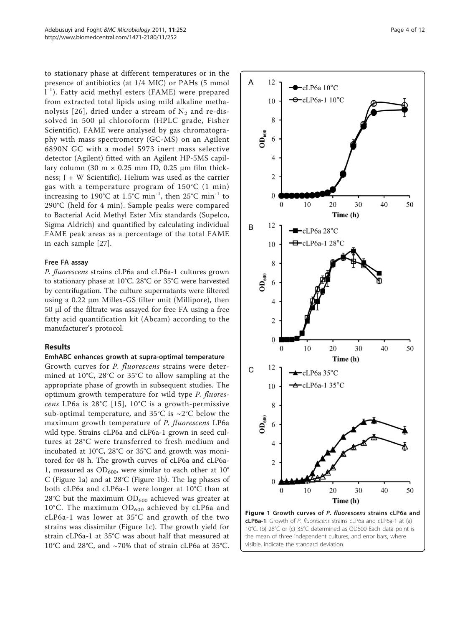to stationary phase at different temperatures or in the presence of antibiotics (at 1/4 MIC) or PAHs (5 mmol l<sup>-1</sup>). Fatty acid methyl esters (FAME) were prepared from extracted total lipids using mild alkaline metha-nolysis [[26\]](#page-11-0), dried under a stream of  $N_2$  and re-dissolved in 500 μl chloroform (HPLC grade, Fisher Scientific). FAME were analysed by gas chromatography with mass spectrometry (GC-MS) on an Agilent 6890N GC with a model 5973 inert mass selective detector (Agilent) fitted with an Agilent HP-5MS capillary column (30 m × 0.25 mm ID, 0.25 μm film thickness; J + W Scientific). Helium was used as the carrier gas with a temperature program of 150°C (1 min) increasing to 190°C at 1.5°C min<sup>-1</sup>, then 25°C min<sup>-1</sup> to 290°C (held for 4 min). Sample peaks were compared to Bacterial Acid Methyl Ester Mix standards (Supelco, Sigma Aldrich) and quantified by calculating individual FAME peak areas as a percentage of the total FAME in each sample [[27\]](#page-11-0).

# Free FA assay

P. fluorescens strains cLP6a and cLP6a-1 cultures grown to stationary phase at 10°C, 28°C or 35°C were harvested by centrifugation. The culture supernatants were filtered using a 0.22 μm Millex-GS filter unit (Millipore), then 50 μl of the filtrate was assayed for free FA using a free fatty acid quantification kit (Abcam) according to the manufacturer's protocol.

#### Results

#### EmhABC enhances growth at supra-optimal temperature

Growth curves for P. fluorescens strains were determined at 10°C, 28°C or 35°C to allow sampling at the appropriate phase of growth in subsequent studies. The optimum growth temperature for wild type P. fluorescens LP6a is 28°C [[15\]](#page-11-0), 10°C is a growth-permissive sub-optimal temperature, and  $35^{\circ}$ C is ~2 $^{\circ}$ C below the maximum growth temperature of P. fluorescens LP6a wild type. Strains cLP6a and cLP6a-1 grown in seed cultures at 28°C were transferred to fresh medium and incubated at 10°C, 28°C or 35°C and growth was monitored for 48 h. The growth curves of cLP6a and cLP6a-1, measured as  $OD_{600}$ , were similar to each other at 10 $^{\circ}$ C (Figure 1a) and at 28°C (Figure 1b). The lag phases of both cLP6a and cLP6a-1 were longer at 10°C than at 28°C but the maximum  $OD_{600}$  achieved was greater at 10°C. The maximum  $OD_{600}$  achieved by cLP6a and cLP6a-1 was lower at 35°C and growth of the two strains was dissimilar (Figure 1c). The growth yield for strain cLP6a-1 at 35°C was about half that measured at 10°C and 28°C, and ~70% that of strain cLP6a at 35°C.



10°C, (b) 28°C or (c) 35°C determined as OD600 Each data point is the mean of three independent cultures, and error bars, where visible, indicate the standard deviation.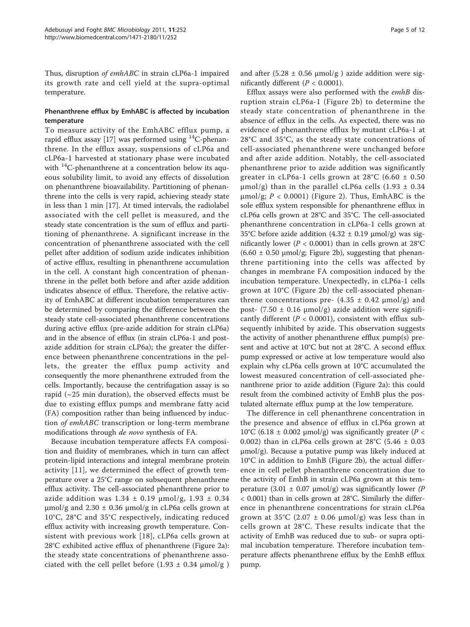Thus, disruption of emhABC in strain cLP6a-1 impaired its growth rate and cell yield at the supra-optimal temperature.

# Phenanthrene efflux by EmhABC is affected by incubation temperature

To measure activity of the EmhABC efflux pump, a rapid efflux assay [\[17\]](#page-11-0) was performed using  $^{14}$ C-phenanthrene. In the efflux assay, suspensions of cLP6a and cLP6a-1 harvested at stationary phase were incubated with  $^{14}$ C-phenanthrene at a concentration below its aqueous solubility limit, to avoid any effects of dissolution on phenanthrene bioavailability. Partitioning of phenanthrene into the cells is very rapid, achieving steady state in less than 1 min [\[17\]](#page-11-0). At timed intervals, the radiolabel associated with the cell pellet is measured, and the steady state concentration is the sum of efflux and partitioning of phenanthrene. A significant increase in the concentration of phenanthrene associated with the cell pellet after addition of sodium azide indicates inhibition of active efflux, resulting in phenanthrene accumulation in the cell. A constant high concentration of phenanthrene in the pellet both before and after azide addition indicates absence of efflux. Therefore, the relative activity of EmhABC at different incubation temperatures can be determined by comparing the difference between the steady state cell-associated phenanthrene concentrations during active efflux (pre-azide addition for strain cLP6a) and in the absence of efflux (in strain cLP6a-1 and postazide addition for strain cLP6a); the greater the difference between phenanthrene concentrations in the pellets, the greater the efflux pump activity and consequently the more phenanthrene extruded from the cells. Importantly, because the centrifugation assay is so rapid ( $\sim$ 25 min duration), the observed effects must be due to existing efflux pumps and membrane fatty acid (FA) composition rather than being influenced by induction of emhABC transcription or long-term membrane modifications through de novo synthesis of FA.

Because incubation temperature affects FA composition and fluidity of membranes, which in turn can affect protein-lipid interactions and integral membrane protein activity [\[11\]](#page-11-0), we determined the effect of growth temperature over a 25°C range on subsequent phenanthrene efflux activity. The cell-associated phenanthrene prior to azide addition was  $1.34 \pm 0.19 \mu \text{mol/g}$ ,  $1.93 \pm 0.34$ μmol/g and  $2.30 \pm 0.36$  μmol/g in cLP6a cells grown at 10°C, 28°C and 35°C respectively, indicating reduced efflux activity with increasing growth temperature. Consistent with previous work [[18](#page-11-0)], cLP6a cells grown at 28°C exhibited active efflux of phenanthrene (Figure [2a](#page-5-0)): the steady state concentrations of phenanthrene associated with the cell pellet before (1.93  $\pm$  0.34  $\mu$ mol/g)

and after  $(5.28 \pm 0.56 \mu \text{mol/g})$  azide addition were significantly different ( $P < 0.0001$ ).

Efflux assays were also performed with the emhB disruption strain cLP6a-1 (Figure [2b](#page-5-0)) to determine the steady state concentration of phenanthrene in the absence of efflux in the cells. As expected, there was no evidence of phenanthrene efflux by mutant cLP6a-1 at 28°C and 35°C, as the steady state concentrations of cell-associated phenanthrene were unchanged before and after azide addition. Notably, the cell-associated phenanthrene prior to azide addition was significantly greater in cLP6a-1 cells grown at  $28^{\circ}$ C (6.60  $\pm$  0.50  $\mu$ mol/g) than in the parallel cLP6a cells (1.93  $\pm$  0.34  $\mu$ mol/g; P < 0.0001) (Figure [2](#page-5-0)). Thus, EmhABC is the sole efflux system responsible for phenanthrene efflux in cLP6a cells grown at 28°C and 35°C. The cell-associated phenanthrene concentration in cLP6a-1 cells grown at 35°C before azide addition (4.32  $\pm$  0.19  $\mu$ mol/g) was significantly lower ( $P < 0.0001$ ) than in cells grown at 28°C  $(6.60 \pm 0.50 \text{ \mu mol/g}$ ; Figure [2b](#page-5-0)), suggesting that phenanthrene partitioning into the cells was affected by changes in membrane FA composition induced by the incubation temperature. Unexpectedly, in cLP6a-1 cells grown at 10°C (Figure [2b](#page-5-0)) the cell-associated phenanthrene concentrations pre-  $(4.35 \pm 0.42 \mu \text{mol/g})$  and post- (7.50  $\pm$  0.16 μmol/g) azide addition were significantly different ( $P < 0.0001$ ), consistent with efflux subsequently inhibited by azide. This observation suggests the activity of another phenanthrene efflux pump(s) present and active at 10°C but not at 28°C. A second efflux pump expressed or active at low temperature would also explain why cLP6a cells grown at 10°C accumulated the lowest measured concentration of cell-associated phenanthrene prior to azide addition (Figure [2a\)](#page-5-0): this could result from the combined activity of EmhB plus the postulated alternate efflux pump at the low temperature.

The difference in cell phenanthrene concentration in the presence and absence of efflux in cLP6a grown at 10°C (6.18 ± 0.002 μmol/g) was significantly greater (P < 0.002) than in cLP6a cells grown at  $28^{\circ}$ C (5.46  $\pm$  0.03 μmol/g). Because a putative pump was likely induced at 10°C in addition to EmhB (Figure [2b\)](#page-5-0), the actual difference in cell pellet phenanthrene concentration due to the activity of EmhB in strain cLP6a grown at this temperature (3.01  $\pm$  0.07 µmol/g) was significantly lower (P < 0.001) than in cells grown at 28°C. Similarly the difference in phenanthrene concentrations for strain cLP6a grown at  $35^{\circ}$ C (2.07  $\pm$  0.06  $\mu$ mol/g) was less than in cells grown at 28°C. These results indicate that the activity of EmhB was reduced due to sub- or supra optimal incubation temperature. Therefore incubation temperature affects phenanthrene efflux by the EmhB efflux pump.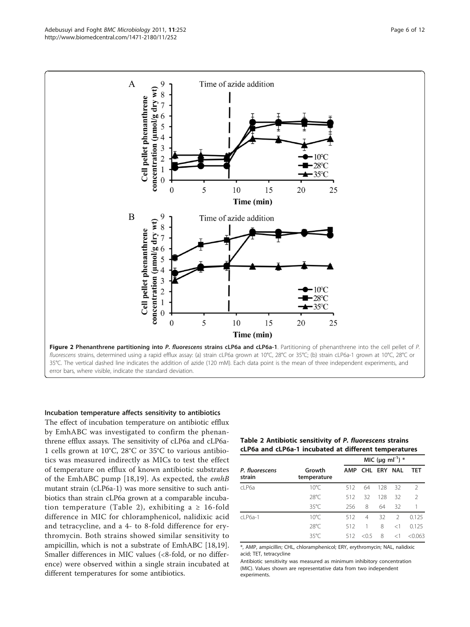<span id="page-5-0"></span>

error bars, where visible, indicate the standard deviation.

### Incubation temperature affects sensitivity to antibiotics

The effect of incubation temperature on antibiotic efflux by EmhABC was investigated to confirm the phenanthrene efflux assays. The sensitivity of cLP6a and cLP6a-1 cells grown at 10°C, 28°C or 35°C to various antibiotics was measured indirectly as MICs to test the effect of temperature on efflux of known antibiotic substrates of the EmhABC pump [[18](#page-11-0),[19\]](#page-11-0). As expected, the emhB mutant strain (cLP6a-1) was more sensitive to such antibiotics than strain cLP6a grown at a comparable incubation temperature (Table 2), exhibiting a  $\geq 16$ -fold difference in MIC for chloramphenicol, nalidixic acid and tetracycline, and a 4- to 8-fold difference for erythromycin. Both strains showed similar sensitivity to ampicillin, which is not a substrate of EmhABC [\[18,19](#page-11-0)]. Smaller differences in MIC values (<8-fold, or no difference) were observed within a single strain incubated at different temperatures for some antibiotics.

# Table 2 Antibiotic sensitivity of P. fluorescens strains cLP6a and cLP6a-1 incubated at different temperatures

|                          |                       | MIC ( $\mu$ g ml <sup>-1</sup> ) * |       |             |               |               |  |  |
|--------------------------|-----------------------|------------------------------------|-------|-------------|---------------|---------------|--|--|
| P. fluorescens<br>strain | Growth<br>temperature | AMP                                |       | CHL ERY NAL |               | TET           |  |  |
| cl P6a                   | $10^{\circ}$ C        | 512                                | 64    | 128         | 32            | $\mathcal{L}$ |  |  |
|                          | $28^{\circ}$ C        | 512                                | 32    | 128         | 32            | $\mathcal{L}$ |  |  |
|                          | $35^{\circ}$ C        | 256                                | 8     | 64          | 32            |               |  |  |
| cLP6a-1                  | $10^{\circ}$ C        | 512                                | 4     | 32          | $\mathcal{P}$ | 0.125         |  |  |
|                          | $28^{\circ}$ C        | 512                                |       | 8           | <1            | 0.125         |  |  |
|                          | $35^{\circ}$ C        | 512                                | < 0.5 | 8           | <1            | $<$ 0.063     |  |  |

\*, AMP, ampicillin; CHL, chloramphenicol; ERY, erythromycin; NAL, nalidixic acid; TET, tetracycline

Antibiotic sensitivity was measured as minimum inhibitory concentration (MIC). Values shown are representative data from two independent experiments.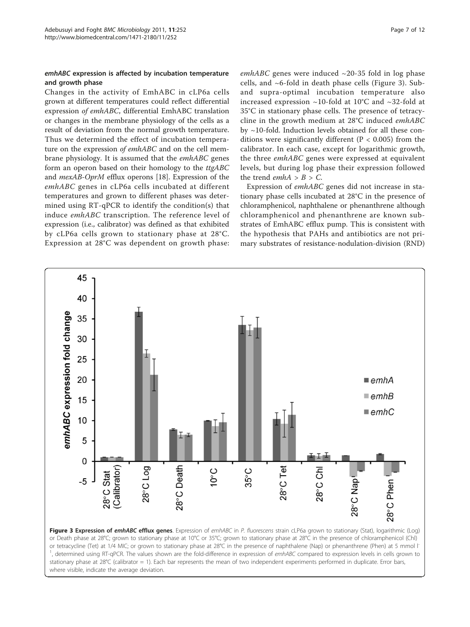#### <span id="page-6-0"></span>emhABC expression is affected by incubation temperature and growth phase

Changes in the activity of EmhABC in cLP6a cells grown at different temperatures could reflect differential expression of emhABC, differential EmhABC translation or changes in the membrane physiology of the cells as a result of deviation from the normal growth temperature. Thus we determined the effect of incubation temperature on the expression of emhABC and on the cell membrane physiology. It is assumed that the emhABC genes form an operon based on their homology to the ttgABC and mexAB-OprM efflux operons [[18](#page-11-0)]. Expression of the emhABC genes in cLP6a cells incubated at different temperatures and grown to different phases was determined using RT-qPCR to identify the condition(s) that induce emhABC transcription. The reference level of expression (i.e., calibrator) was defined as that exhibited by cLP6a cells grown to stationary phase at 28°C. Expression at 28°C was dependent on growth phase:

emhABC genes were induced  $\sim$ 20-35 fold in log phase cells, and ~6-fold in death phase cells (Figure 3). Suband supra-optimal incubation temperature also increased expression ~10-fold at 10°C and ~32-fold at 35°C in stationary phase cells. The presence of tetracycline in the growth medium at  $28^{\circ}$ C induced *emhABC* by ~10-fold. Induction levels obtained for all these conditions were significantly different ( $P < 0.005$ ) from the calibrator. In each case, except for logarithmic growth, the three emhABC genes were expressed at equivalent levels, but during log phase their expression followed the trend  $emhA > B > C$ .

Expression of emhABC genes did not increase in stationary phase cells incubated at 28°C in the presence of chloramphenicol, naphthalene or phenanthrene although chloramphenicol and phenanthrene are known substrates of EmhABC efflux pump. This is consistent with the hypothesis that PAHs and antibiotics are not primary substrates of resistance-nodulation-division (RND)



or tetracycline (Tet) at 1/4 MIC; or grown to stationary phase at 28°C in the presence of naphthalene (Nap) or phenanthrene (Phen) at 5 mmol l<sup>-</sup> <sup>1</sup>, determined using RT-qPCR. The values shown are the fold-difference in expression of emhABC compared to expression levels in cells grown to stationary phase at 28°C (calibrator = 1). Each bar represents the mean of two independent experiments performed in duplicate. Error bars, where visible, indicate the average deviation.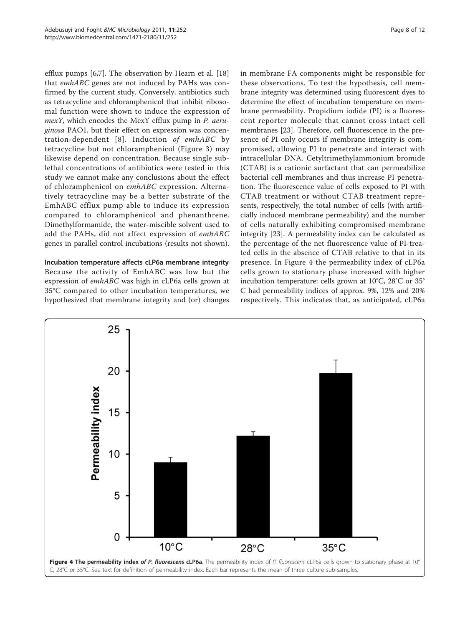efflux pumps [\[6](#page-11-0),[7\]](#page-11-0). The observation by Hearn et al. [[18](#page-11-0)] that emhABC genes are not induced by PAHs was confirmed by the current study. Conversely, antibiotics such as tetracycline and chloramphenicol that inhibit ribosomal function were shown to induce the expression of mexY, which encodes the MexY efflux pump in P. aeruginosa PAO1, but their effect on expression was concentration-dependent [[8\]](#page-11-0). Induction of emhABC by tetracycline but not chloramphenicol (Figure [3\)](#page-6-0) may likewise depend on concentration. Because single sublethal concentrations of antibiotics were tested in this study we cannot make any conclusions about the effect of chloramphenicol on emhABC expression. Alternatively tetracycline may be a better substrate of the EmhABC efflux pump able to induce its expression compared to chloramphenicol and phenanthrene. Dimethylformamide, the water-miscible solvent used to add the PAHs, did not affect expression of emhABC genes in parallel control incubations (results not shown).

Incubation temperature affects cLP6a membrane integrity Because the activity of EmhABC was low but the expression of emhABC was high in cLP6a cells grown at 35°C compared to other incubation temperatures, we hypothesized that membrane integrity and (or) changes in membrane FA components might be responsible for these observations. To test the hypothesis, cell membrane integrity was determined using fluorescent dyes to determine the effect of incubation temperature on membrane permeability. Propidium iodide (PI) is a fluorescent reporter molecule that cannot cross intact cell membranes [[23\]](#page-11-0). Therefore, cell fluorescence in the presence of PI only occurs if membrane integrity is compromised, allowing PI to penetrate and interact with intracellular DNA. Cetyltrimethylammonium bromide (CTAB) is a cationic surfactant that can permeabilize bacterial cell membranes and thus increase PI penetration. The fluorescence value of cells exposed to PI with CTAB treatment or without CTAB treatment represents, respectively, the total number of cells (with artificially induced membrane permeability) and the number of cells naturally exhibiting compromised membrane integrity [[23\]](#page-11-0). A permeability index can be calculated as the percentage of the net fluorescence value of PI-treated cells in the absence of CTAB relative to that in its presence. In Figure 4 the permeability index of cLP6a cells grown to stationary phase increased with higher incubation temperature: cells grown at 10°C, 28°C or 35° C had permeability indices of approx. 9%, 12% and 20% respectively. This indicates that, as anticipated, cLP6a

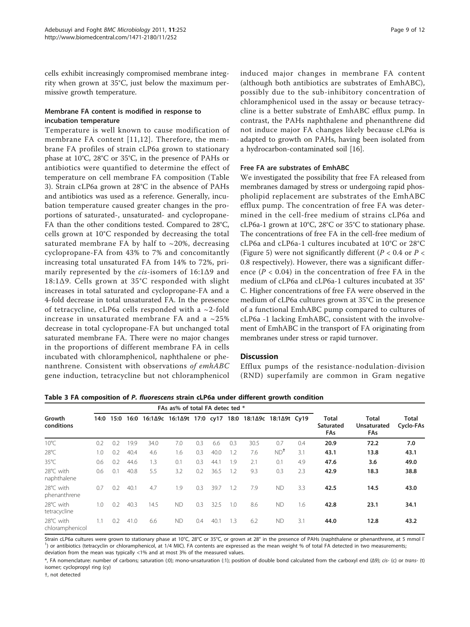cells exhibit increasingly compromised membrane integrity when grown at 35°C, just below the maximum permissive growth temperature.

# Membrane FA content is modified in response to incubation temperature

Temperature is well known to cause modification of membrane FA content [[11,12\]](#page-11-0). Therefore, the membrane FA profiles of strain cLP6a grown to stationary phase at 10°C, 28°C or 35°C, in the presence of PAHs or antibiotics were quantified to determine the effect of temperature on cell membrane FA composition (Table 3). Strain cLP6a grown at 28°C in the absence of PAHs and antibiotics was used as a reference. Generally, incubation temperature caused greater changes in the proportions of saturated-, unsaturated- and cyclopropane-FA than the other conditions tested. Compared to 28°C, cells grown at 10°C responded by decreasing the total saturated membrane FA by half to  $\sim$ 20%, decreasing cyclopropane-FA from 43% to 7% and concomitantly increasing total unsaturated FA from 14% to 72%, primarily represented by the cis-isomers of 16:1Δ9 and 18:1Δ9. Cells grown at 35°C responded with slight increases in total saturated and cyclopropane-FA and a 4-fold decrease in total unsaturated FA. In the presence of tetracycline, cLP6a cells responded with a  $\sim$ 2-fold increase in unsaturated membrane FA and a  $\sim$ 25% decrease in total cyclopropane-FA but unchanged total saturated membrane FA. There were no major changes in the proportions of different membrane FA in cells incubated with chloramphenicol, naphthalene or phenanthrene. Consistent with observations of emhABC gene induction, tetracycline but not chloramphenicol

induced major changes in membrane FA content (although both antibiotics are substrates of EmhABC), possibly due to the sub-inhibitory concentration of chloramphenicol used in the assay or because tetracycline is a better substrate of EmhABC efflux pump. In contrast, the PAHs naphthalene and phenanthrene did not induce major FA changes likely because cLP6a is adapted to growth on PAHs, having been isolated from a hydrocarbon-contaminated soil [[16](#page-11-0)].

# Free FA are substrates of EmhABC

We investigated the possibility that free FA released from membranes damaged by stress or undergoing rapid phospholipid replacement are substrates of the EmhABC efflux pump. The concentration of free FA was determined in the cell-free medium of strains cLP6a and cLP6a-1 grown at 10°C, 28°C or 35°C to stationary phase. The concentrations of free FA in the cell-free medium of cLP6a and cLP6a-1 cultures incubated at 10°C or 28°C (Figure [5](#page-9-0)) were not significantly different ( $P < 0.4$  or  $P <$ 0.8 respectively). However, there was a significant difference ( $P < 0.04$ ) in the concentration of free FA in the medium of cLP6a and cLP6a-1 cultures incubated at 35° C. Higher concentrations of free FA were observed in the medium of cLP6a cultures grown at 35°C in the presence of a functional EmhABC pump compared to cultures of cLP6a -1 lacking EmhABC, consistent with the involvement of EmhABC in the transport of FA originating from membranes under stress or rapid turnover.

# **Discussion**

Efflux pumps of the resistance-nodulation-division (RND) superfamily are common in Gram negative

| Growth<br>conditions         |     | FAs as% of total FA detec ted * |      |      |           |     |      |     |                                                                    |                 |     |                                         |                                           |                    |
|------------------------------|-----|---------------------------------|------|------|-----------|-----|------|-----|--------------------------------------------------------------------|-----------------|-----|-----------------------------------------|-------------------------------------------|--------------------|
|                              |     |                                 |      |      |           |     |      |     | 14:0 15:0 16:0 16:1Δ9c 16:1Δ9t 17:0 cy17 18:0 18:1Δ9c 18:1Δ9t Cy19 |                 |     | <b>Total</b><br><b>Saturated</b><br>FAs | <b>Total</b><br><b>Unsaturated</b><br>FAs | Total<br>Cyclo-FAs |
| $10^{\circ}$ C               | 0.2 | 0.2                             | 19.9 | 34.0 | 7.0       | 0.3 | 6.6  | 0.3 | 30.5                                                               | 0.7             | 0.4 | 20.9                                    | 72.2                                      | 7.0                |
| $28^{\circ}$ C               | 1.0 | 0.2                             | 40.4 | 4.6  | 1.6       | 0.3 | 40.0 | 1.2 | 7.6                                                                | ND <sup>†</sup> | 3.1 | 43.1                                    | 13.8                                      | 43.1               |
| $35^{\circ}$ C               | 0.6 | 0.2                             | 44.6 | 1.3  | 0.1       | 0.3 | 44.1 | 1.9 | 2.1                                                                | 0.1             | 4.9 | 47.6                                    | 3.6                                       | 49.0               |
| 28°C with<br>naphthalene     | 0.6 | 0.1                             | 40.8 | 5.5  | 3.2       | 0.2 | 36.5 | 1.2 | 9.3                                                                | 0.3             | 2.3 | 42.9                                    | 18.3                                      | 38.8               |
| 28°C with<br>phenanthrene    | 0.7 | 0.2                             | 40.1 | 4.7  | 1.9       | 0.3 | 39.7 | 1.2 | 7.9                                                                | <b>ND</b>       | 3.3 | 42.5                                    | 14.5                                      | 43.0               |
| 28°C with<br>tetracycline    | 1.0 | 0.2                             | 40.3 | 14.5 | <b>ND</b> | 0.3 | 32.5 | 1.0 | 8.6                                                                | <b>ND</b>       | 1.6 | 42.8                                    | 23.1                                      | 34.1               |
| 28°C with<br>chloramphenicol |     | 0.2                             | 41.0 | 6.6  | <b>ND</b> | 0.4 | 40.1 | 1.3 | 6.2                                                                | <b>ND</b>       | 3.1 | 44.0                                    | 12.8                                      | 43.2               |

Table 3 FA composition of P. fluorescens strain cLP6a under different growth condition

Strain cLP6a cultures were grown to stationary phase at 10°C, 28°C or 35°C, or grown at 28° in the presence of PAHs (naphthalene or phenanthrene, at 5 mmol l-<sup>1</sup>) or antibiotics (tetracyclin or chloramphenicol, at 1/4 MIC). FA contents are expressed as the mean weight % of total FA detected in two measurements; deviation from the mean was typically <1% and at most 3% of the measured values.

\*, FA nomenclature: number of carbons; saturation (:0); mono-unsaturation (:1); position of double bond calculated from the carboxyl end (Δ9); cis- (c) or trans- (t) isomer; cyclopropyl ring (cy)

†, not detected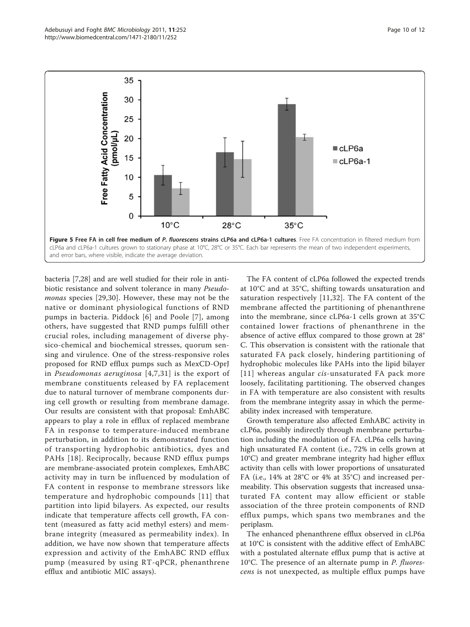<span id="page-9-0"></span>

bacteria [\[7,28\]](#page-11-0) and are well studied for their role in antibiotic resistance and solvent tolerance in many Pseudomonas species [\[29](#page-11-0),[30](#page-11-0)]. However, these may not be the native or dominant physiological functions of RND pumps in bacteria. Piddock [[6](#page-11-0)] and Poole [[7](#page-11-0)], among others, have suggested that RND pumps fulfill other crucial roles, including management of diverse physico-chemical and biochemical stresses, quorum sensing and virulence. One of the stress-responsive roles proposed for RND efflux pumps such as MexCD-OprJ in Pseudomonas aeruginosa [[4,7,31\]](#page-11-0) is the export of membrane constituents released by FA replacement due to natural turnover of membrane components during cell growth or resulting from membrane damage. Our results are consistent with that proposal: EmhABC appears to play a role in efflux of replaced membrane FA in response to temperature-induced membrane perturbation, in addition to its demonstrated function of transporting hydrophobic antibiotics, dyes and PAHs [[18\]](#page-11-0). Reciprocally, because RND efflux pumps are membrane-associated protein complexes, EmhABC activity may in turn be influenced by modulation of FA content in response to membrane stressors like temperature and hydrophobic compounds [[11\]](#page-11-0) that partition into lipid bilayers. As expected, our results indicate that temperature affects cell growth, FA content (measured as fatty acid methyl esters) and membrane integrity (measured as permeability index). In addition, we have now shown that temperature affects expression and activity of the EmhABC RND efflux pump (measured by using RT-qPCR, phenanthrene efflux and antibiotic MIC assays).

The FA content of cLP6a followed the expected trends at 10°C and at 35°C, shifting towards unsaturation and saturation respectively [[11,32](#page-11-0)]. The FA content of the membrane affected the partitioning of phenanthrene into the membrane, since cLP6a-1 cells grown at 35°C contained lower fractions of phenanthrene in the absence of active efflux compared to those grown at 28° C. This observation is consistent with the rationale that saturated FA pack closely, hindering partitioning of hydrophobic molecules like PAHs into the lipid bilayer [[11\]](#page-11-0) whereas angular cis-unsaturated FA pack more loosely, facilitating partitioning. The observed changes in FA with temperature are also consistent with results from the membrane integrity assay in which the permeability index increased with temperature.

Growth temperature also affected EmhABC activity in cLP6a, possibly indirectly through membrane perturbation including the modulation of FA. cLP6a cells having high unsaturated FA content (i.e., 72% in cells grown at 10°C) and greater membrane integrity had higher efflux activity than cells with lower proportions of unsaturated FA (i.e., 14% at 28°C or 4% at 35°C) and increased permeability. This observation suggests that increased unsaturated FA content may allow efficient or stable association of the three protein components of RND efflux pumps, which spans two membranes and the periplasm.

The enhanced phenanthrene efflux observed in cLP6a at 10°C is consistent with the additive effect of EmhABC with a postulated alternate efflux pump that is active at 10°C. The presence of an alternate pump in *P. fluores*cens is not unexpected, as multiple efflux pumps have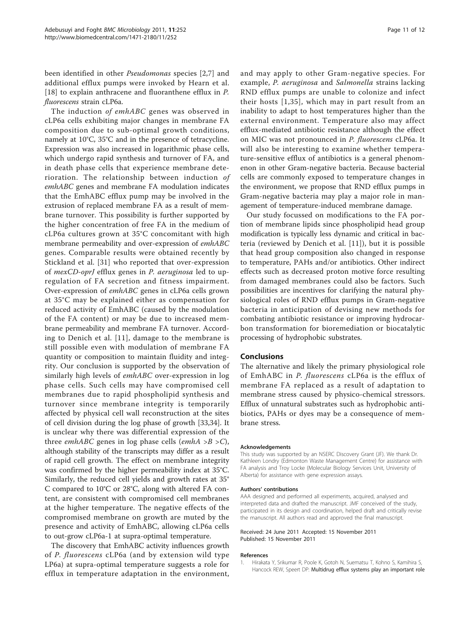<span id="page-10-0"></span>been identified in other Pseudomonas species [\[2](#page-11-0),[7\]](#page-11-0) and additional efflux pumps were invoked by Hearn et al. [[18\]](#page-11-0) to explain anthracene and fluoranthene efflux in P. fluorescens strain cLP6a.

The induction of emhABC genes was observed in cLP6a cells exhibiting major changes in membrane FA composition due to sub-optimal growth conditions, namely at 10°C, 35°C and in the presence of tetracycline. Expression was also increased in logarithmic phase cells, which undergo rapid synthesis and turnover of FA, and in death phase cells that experience membrane deterioration. The relationship between induction of emhABC genes and membrane FA modulation indicates that the EmhABC efflux pump may be involved in the extrusion of replaced membrane FA as a result of membrane turnover. This possibility is further supported by the higher concentration of free FA in the medium of cLP6a cultures grown at 35°C concomitant with high membrane permeability and over-expression of emhABC genes. Comparable results were obtained recently by Stickland et al. [[31\]](#page-11-0) who reported that over-expression of mexCD-oprJ efflux genes in P. aeruginosa led to upregulation of FA secretion and fitness impairment. Over-expression of emhABC genes in cLP6a cells grown at 35°C may be explained either as compensation for reduced activity of EmhABC (caused by the modulation of the FA content) or may be due to increased membrane permeability and membrane FA turnover. According to Denich et al. [[11](#page-11-0)], damage to the membrane is still possible even with modulation of membrane FA quantity or composition to maintain fluidity and integrity. Our conclusion is supported by the observation of similarly high levels of *emhABC* over-expression in log phase cells. Such cells may have compromised cell membranes due to rapid phospholipid synthesis and turnover since membrane integrity is temporarily affected by physical cell wall reconstruction at the sites of cell division during the log phase of growth [[33,34\]](#page-11-0). It is unclear why there was differential expression of the three *emhABC* genes in log phase cells (*emhA*  $>B$   $>C$ ), although stability of the transcripts may differ as a result of rapid cell growth. The effect on membrane integrity was confirmed by the higher permeability index at 35°C. Similarly, the reduced cell yields and growth rates at 35° C compared to 10°C or 28°C, along with altered FA content, are consistent with compromised cell membranes at the higher temperature. The negative effects of the compromised membrane on growth are muted by the presence and activity of EmhABC, allowing cLP6a cells to out-grow cLP6a-1 at supra-optimal temperature.

The discovery that EmhABC activity influences growth of P. fluorescens cLP6a (and by extension wild type LP6a) at supra-optimal temperature suggests a role for efflux in temperature adaptation in the environment, and may apply to other Gram-negative species. For example, P. aeruginosa and Salmonella strains lacking RND efflux pumps are unable to colonize and infect their hosts [1,[35](#page-11-0)], which may in part result from an inability to adapt to host temperatures higher than the external environment. Temperature also may affect efflux-mediated antibiotic resistance although the effect on MIC was not pronounced in P. fluorescens cLP6a. It will also be interesting to examine whether temperature-sensitive efflux of antibiotics is a general phenomenon in other Gram-negative bacteria. Because bacterial cells are commonly exposed to temperature changes in the environment, we propose that RND efflux pumps in Gram-negative bacteria may play a major role in management of temperature-induced membrane damage.

Our study focussed on modifications to the FA portion of membrane lipids since phospholipid head group modification is typically less dynamic and critical in bacteria (reviewed by Denich et al. [\[11\]](#page-11-0)), but it is possible that head group composition also changed in response to temperature, PAHs and/or antibiotics. Other indirect effects such as decreased proton motive force resulting from damaged membranes could also be factors. Such possibilities are incentives for clarifying the natural physiological roles of RND efflux pumps in Gram-negative bacteria in anticipation of devising new methods for combating antibiotic resistance or improving hydrocarbon transformation for bioremediation or biocatalytic processing of hydrophobic substrates.

#### **Conclusions**

The alternative and likely the primary physiological role of EmhABC in P. fluorescens cLP6a is the efflux of membrane FA replaced as a result of adaptation to membrane stress caused by physico-chemical stressors. Efflux of unnatural substrates such as hydrophobic antibiotics, PAHs or dyes may be a consequence of membrane stress.

#### Acknowledgements

This study was supported by an NSERC Discovery Grant (JF). We thank Dr. Kathleen Londry (Edmonton Waste Management Centre) for assistance with FA analysis and Troy Locke (Molecular Biology Services Unit, University of Alberta) for assistance with gene expression assays.

#### Authors' contributions

AAA designed and performed all experiments, acquired, analysed and interpreted data and drafted the manuscript. JMF conceived of the study, participated in its design and coordination, helped draft and critically revise the manuscript. All authors read and approved the final manuscript.

#### Received: 24 June 2011 Accepted: 15 November 2011 Published: 15 November 2011

#### References

1. Hirakata Y, Srikumar R, Poole K, Gotoh N, Suematsu T, Kohno S, Kamihira S, Hancock REW, Speert DP: [Multidrug efflux systems play an important role](http://www.ncbi.nlm.nih.gov/pubmed/12093875?dopt=Abstract)